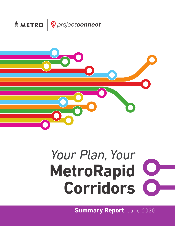



# *Your Plan, Your*  **MetroRapid Corridors**

**Summary Report** June 2020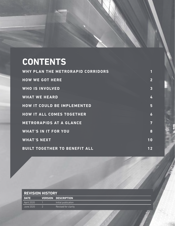# **CONTENTS**

| <b>WHY PLAN THE METRORAPID CORRIDORS</b> |                |
|------------------------------------------|----------------|
| <b>HOW WE GOT HERE</b>                   | $\overline{2}$ |
| <b>WHO IS INVOLVED</b>                   | $\overline{3}$ |
| <b>WHAT WE HEARD</b>                     | 4              |
| <b>HOW IT COULD BE IMPLEMENTED</b>       | 5              |
| <b>HOW IT ALL COMES TOGETHER</b>         | 6              |
| <b>METRORAPIDS AT A GLANCE</b>           | 7              |
| <b>WHAT'S IN IT FOR YOU</b>              | 8              |
| <b>WHAT'S NEXT</b>                       | 10             |
| <b>BUILT TOGETHER TO BENEFIT ALL</b>     | 12             |

| <b>REVISION HISTORY</b> |  |                            |  |
|-------------------------|--|----------------------------|--|
| <b>DATE</b>             |  | <b>VERSION DESCRIPTION</b> |  |
| April 2020              |  | Initial publication        |  |
| June 2020               |  | Revised for clarity        |  |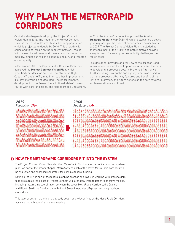### **WHY PLAN THE METRORAPID CORRIDORS**

Capital Metro began developing the Project Connect Vision Plan in 2016. The need for the Project Connect vision is the result of Central Texas' booming population which is projected to double by 2040. This growth will cause additional strain on the roadway network, result in increased travel times and travel costs, decrease our mobility, hinder our region's economic health, and threaten our air quality.

In December 2018, the Capital Metro Board of Directors approved the **Project Connect Vision Plan**, which identifed corridors for potential investment in High Capacity Transit (HCT), in addition to other improvements like new MetroRapid routes, Red Line improvements, development of the Green Line, additional MetroExpress routes with park-and-rides, and Neighborhood Circulators. In 2019, the Austin City Council approved the **Austin Strategic Mobility Plan** (ASMP), which establishes a policy goal to quadruple the share of commuters who use transit by 2039. The Project Connect Vision Plan is included as an integral part of the ASMP, and both initiatives provide a way forward for solving future mobility challenges the region faces.

This document provides an overview of the process used to evaluate enhanced transit options in Austin and the path to developing a proposed Locally Preferred Alternative (LPA), including how public and agency input was fused to craft the proposed LPA. Key features and benefts of the LPA are illustrated, and future actions on the path towards implementation are outlined.

#### *2019 Population: 2M+*

80688888888888888888888 80680656868680680656888 8868866888888888688888 80680680880880888808888 8068005688888888888888 8868866888888688668888 00 An BADD A BANDA A BADA A BAD 8068065688888888888888



 $\frac{1}{2}$  and  $\frac{1}{2}$  and  $\frac{1}{2}$  and  $\frac{1}{2}$  and  $\frac{1}{2}$  and  $\frac{1}{2}$  and  $\frac{1}{2}$  and  $\frac{1}{2}$  and  $\frac{1}{2}$  and  $\frac{1}{2}$  and  $\frac{1}{2}$  and  $\frac{1}{2}$  and  $\frac{1}{2}$  and  $\frac{1}{2}$  and  $\frac{1}{2}$  and  $\frac{1}{2}$  a 

#### **HOW THE METRORAPID CORRIDORS FIT INTO THE SYSTEM**

The Project Connect Vision Plan identifed MetroRapid Corridors as part of its proposed system plan. As part of the broader Capital Metro System, each of the seven MetroRapid corridors will be evaluated and assessed separately for possible federal funding.

Defining the LPA is part of the federal planning process and involves working with stakeholders to make sure all the pieces of Project Connect will ultimately work together to improve mobility, including maximizing coordination between the seven MetroRapid Corridors, the Orange and Blue & Gold Line Corridors, the Red and Green Lines, MetroExpress, and Neighborhood circulators.

This level of system planning has already begun and will continue as the MetroRapid Corridors advance through planning and engineering.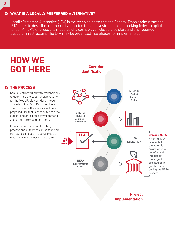#### **WHAT IS A LOCALLY PREFERRED ALTERNATIVE?**

Locally Preferred Alternative (LPA) is the technical term that the Federal Transit Administration (FTA) uses to describe a community-selected transit investment that is seeking federal capital funds. An LPA, or project, is made up of a corridor, vehicle, service plan, and any required support infrastructure. The LPA may be organized into phases for implementation.

### **HOW WE GOT HERE**

#### **X** THE PROCESS

analysis of the MetroRapid corridors. Capital Metro worked with stakeholders to determine the best transit investment for the MetroRapid Corridors through The outcome of the analysis will be a proposed LPA that is best suited to serve current and anticipated travel demand along the MetroRapid Corridors.

Detailed information on the study process and outcomes can be found on the resources page at Capital Metro's website (<www.projectconnect.com>).



**Project Implementation**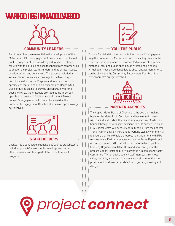### **WHO IS INV WHO IS INVOLOLVED VED**



#### **COMMUNITY LEADERS**

Public input has been essential to the development of the MetroRapid LPA. The engagement process included formal public engagement that was designed to share technical results with the public and seek feedback from communities to deepen the project team's understanding of local issues, considerations, and constraints. The process included a series of open house style meetings in the MetroRapid Corridors to discuss the Purpose and Need and corridorspecific concepts. In addition, a Virtual Open House (VOH) was conducted online to provide an opportunity for the public to review the materials provided at the in-person open house meetings. Additional details about Project Connect's engagement efforts can be viewed at the Community Engagement Dashboard at: www.capmetro.org/ get-involved.



Capital Metro conducted extensive outreach to stakeholders, including project-focused public meetings and numerous other outreach events as part of the Project Connect program.



#### **YOU, THE PUBLIC**

To date, Capital Metro has conducted formal public engagement to gather input on the MetroRapid corridors at key points in the process. Public engagement incorporated a range of outreach methods, including public open house events and an online virtual open house. Additional details about engagement efforts can be viewed at the Community Engagement Dashboard at: www.capmetro.org/get-involved.



#### **PARTNER AGENCIES**

The Capital Metro Board of Directors is the decision-making body for the MetroRapid Corridors and has worked closely with Capital Metro staff, the City of Austin staff, and Austin City Council through several joint sessions to build consensus on an LPA. Capital Metro will pursue federal funding from the Federal Transit Administration (FTA) and is working closely with the FTA to ensure that MetroRapid's progress is in alignment with FTA requirements. Partner agencies include the Texas Department of Transportation (TxDOT) and the Capital Area Metropolitan Planning Organization (CAMPO). In addition, throughout the process Capital Metro regularly convened a Technical Advisory Committee (TAC) of public agency staff members from local cities, counties, transportation agencies and other entities to provide technical feedback related to project engineering and design.

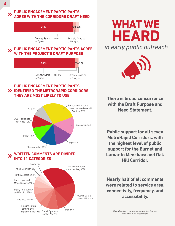#### **PUBLIC ENGAGEMENT PARTICIPANTS**   $\blacktriangleright$ **AGREE WITH THE CORRIDORS DRAFT NEED**



#### **PUBLIC ENGAGEMENT PARTICIPANTS AGREE**   $\boldsymbol{\Sigma}$ **H THE PROJECT'S DRAFT PURPOSE**



#### **PUBLIC ENGAGEMENT PARTICIPANTS IDENTIFIED THE METRORAPID CORRIDORS THEY ARE MOST LIKELY TO USE**



#### **WRITTEN COMMENTS ARE DIVIDED**   $\boldsymbol{\lambda}$ **INTO 11 CATEGORIES**







**There is broad concurrence with the Draft Purpose and Need Statement.** 

**Public support for all seven MetroRapid Corridors, with the highest level of public support for the Burnet and Lamar to Menchaca and Oak Hill Corridor.** 

**Nearly half of all comments were related to service area, connectivity, frequency, and accessibility.** 

**4** 

*Note: Based on survey responses during July and November 2019 Engagement.*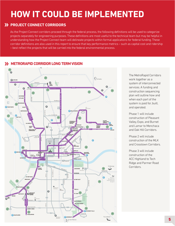### **HOW IT COULD BE IMPLEMENTED**

#### **PROJECT CONNECT CORRIDORS**

As the Project Connect corridors proceed through the federal process, the following defnitions will be used to categorize projects separately for engineering purposes. These definitions are most useful to the technical team but may be helpful in understanding how the Project Connect team will delineate projects within formal applications for federal funding. These corridor definitions are also used in this report to ensure that key performance metrics - such as capital cost and ridership – best refect the projects that will be carried into the federal environmental process.

#### **XX METRORAPID CORRIDOR LONG TERM VISION**



The MetroRapid Corridors work together as a system of interconnected services. A funding and construction sequencing plan will outline how and when each part of the system is paid for, built, and operated.

Phase 1 will include construction of Pleasant Valley, Expo, and Burnet and Lamar to Menchaca and Oak Hill Corridors.

Phase 2 will include construction of the MLK and Crosstown Corridors.

Phase 3 will include construction of the ACC Highland to Tech Ridge and Parmer Road Corridors.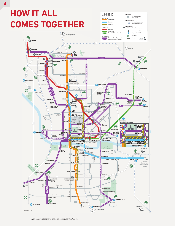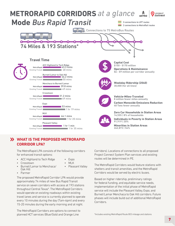

#### **WHAT IS THE PROPOSED METRORAPID CORRIDOR LPA?**

The MetroRapid LPA consists of the following corridors for enhanced transit options:

- ACC Highland to Tech Ridge
- Crosstown

• Expo • MLK

• Pleasant Valley

- 
- Burnet/Lamar to Menchaca/ Oak Hill
- Parmer

The proposed MetroRapid Corridor LPA would provide approximately 74 miles of new Bus Rapid Transit service on seven corridors with access at 193 stations throughout Central Texas\*. The MetroRapid Corridors would operate on existing roadways within existing travel lanes and service is currently planned to operate every 10 minutes during the day (7am-6pm) and every 15-20 minutes during the early morning and at night.

The MetroRapid Corridors are options to connect to planned HCT services (Blue/Gold and Orange Line

Corridors). Locations of connections to all proposed Project Connect System Plan services and existing routes will be determined in PE.

The MetroRapid Corridors would feature stations with shelters and transit amenities, and the MetroRapid Corridors would be served by electric buses.

Based on higher ridership, preliminary ratings for federal funding, and equitable service needs, implementation of the initial phase of MetroRapid service will include the Pleasant Valley, Expo, and Burnet/Lamar Menchaca to Oak Hill corridors. Future phases will include build out of additional MetroRapid Corridors.

\*Includes existing MetroRapid Route 803 mileage and stations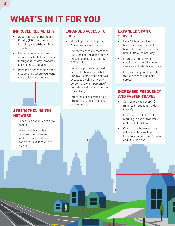## **WHAT'S IN IT FOR YOU**

#### **IMPROVED RELIABILITY**

- Opportunities for Traffic Signal Priority (TSP), near-level boarding, and off-board fare collection
- Faster, more efficient, and more predictable travel times throughout the day compared to existing bus service
- Provides a dependable system that gets you where you want to go quickly and on time

#### **STRENGTHENING THE NETWORK**

- Congestion continues to grow in Austin
- Investing in transit is a necessary complement to other transportation investments to keep Austin moving

#### **EXPANDED ACCESS TO JOBS**

- MetroRapid would improve Austinites' access to jobs
- Improved access to more than 488,000 jobs, including jobs in densely populated areas like ACC Highland
- Corridors provide improved access for households that are low-income or do not have access to a vehicle (twenty percent and dight percent of households along all corridors, respectively)
- Improved access would help employers connect with jobseeking Austinites

#### **EXPANDED SPAN OF SERVICE**

- Near 24-hour service: MetroRapid service would begin at 5:30am and operate until 3:30am the next day
- Improved mobility when coupled with more frequent service and faster travel times
- Early morning and late night transit needs will be better served

#### **INCREASED FREQUENCY AND FASTER TRAVEL**

- Service provided every 10 minutes throughout the day (7am-6pm)
- Less time spent at travel stops resulting in easier transfers and travel efficiency
- Connections between major activity centers such as Downtown Austin, the Domain and ACC Highland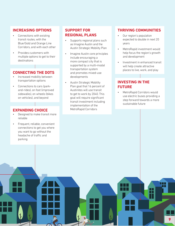#### **INCREASING OPTIONS**

- Connections with existing transit routes, with the Blue/Gold and Orange Line Corridors, and with each other
- Provides customers with multiple options to get to their destinations

#### **CONNECTING THE DOTS**

- Increased mobility between transportation options
- Connections to cars (parkand-rides), on foot (improved sidewalks), on wheels (bikes on vehicles), and beyond

#### **EXPANDING CHOICE**

- Designed to make transit more reliable
- Frequent, reliable, convenient connections to get you where you want to go without the headache of traffic and parking

#### **SUPPORT FOR REGIONAL PLANS**

- Supports regional plans such as Imagine Austin and the Austin Strategic Mobility Plan
- Imagine Austin core principles include encouraging a more compact city that is supported by a multi-modal transportation system and promotes mixed-use developments
- to get to work by 2040. This • Austin Strategic Mobility Plan goal that 16 percent of Austinites will use transit goal will require significant transit investment including implementation of the MetroRapid Corridors

#### **THRIVING COMMUNITIES**

- Our region's population expected to double in next 20 years
- MetroRapid investment would help focus the region's growth and development
- Investment in enhanced transit will help create attractive places to live, work, and play

#### **INVESTING IN THE FUTURE**

• MetroRapid Corridors would use electric buses providing a step forward towards a more sustainable future

**9**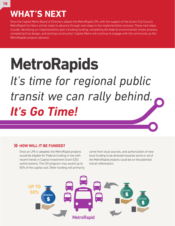## **WHAT'S NEXT**

Once the Capital Metro Board of Directors adopts the MetroRapid LPA, with the support of the Austin City Council, MetroRapid Corridors will be ready to advance through next steps in the implementation process. These next steps include: identifying an implementation plan including funding, completing the federal environmental review process, completing fnal design, and starting construction. Capital Metro will continue to engage with the community as the MetroRapids projects advance.

# **MetroRapids**  *It's time for regional public transit we can rally behind. It's Go Time!*

#### **EXAMPLE IT BE FUNDED?**

Once an LPA is adopted, the MetroRapid projects would be eligible for Federal funding in line with recent trends in Capital Investment Grant (CIG) authorizations. The CIG program may award up to 50% of the capital cost. Other funding will primarily come from local sources, and authorization of new local funding to be directed towards some or all of the MetroRapid projects could be on the potential transit referendum.

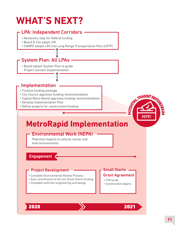# **WHAT'S NEXT?**

#### LPA: Independent Corridors

- Necessary step for federal funding
- Board & City adopt LPA
- CAMPO adopts LPA into Long Range Transportation Plan (LRTP)

#### System Plan: All LPAs

• Board adopts System Plan to guide Project Connect Implementation

#### Implementation

- Finalize funding package
- City Council approves funding recommendation
- Captial Metro Board approves funding recommendation
- Develop Implementation Plan
- Define projects for construction/funding



### **MetroRapid Implementation**

#### Environmental Work (NEPA)

Potential impacts to natural, social, and built environments

**Engagement** 

#### Project Development - Small Starts

- Complete Environmental Review Process **Grant Agreement**
- Gain commitment of all non-Small Starts funding
- Complete sufficient engineering and design



- FTA funds
- Construction begins